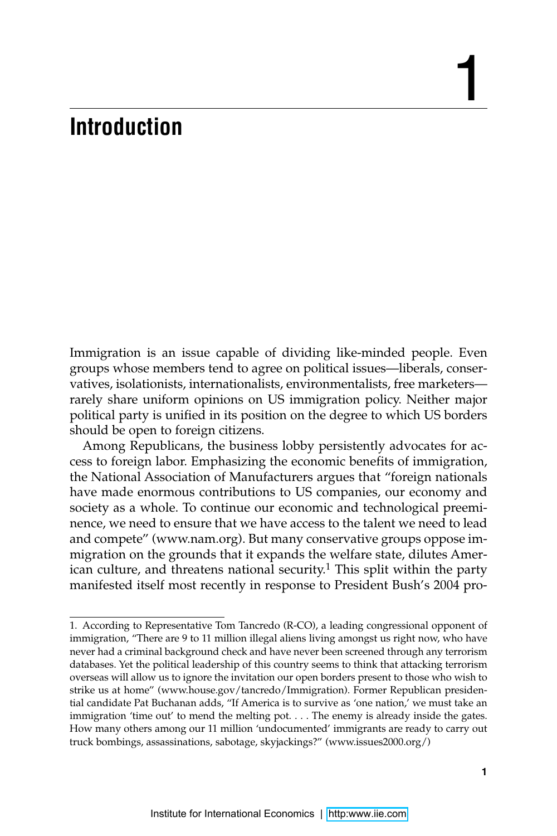# **Introduction**

Immigration is an issue capable of dividing like-minded people. Even groups whose members tend to agree on political issues—liberals, conservatives, isolationists, internationalists, environmentalists, free marketers rarely share uniform opinions on US immigration policy. Neither major political party is unified in its position on the degree to which US borders should be open to foreign citizens.

Among Republicans, the business lobby persistently advocates for access to foreign labor. Emphasizing the economic benefits of immigration, the National Association of Manufacturers argues that "foreign nationals have made enormous contributions to US companies, our economy and society as a whole. To continue our economic and technological preeminence, we need to ensure that we have access to the talent we need to lead and compete" (www.nam.org). But many conservative groups oppose immigration on the grounds that it expands the welfare state, dilutes American culture, and threatens national security.<sup>1</sup> This split within the party manifested itself most recently in response to President Bush's 2004 pro-

1

<sup>1.</sup> According to Representative Tom Tancredo (R-CO), a leading congressional opponent of immigration, "There are 9 to 11 million illegal aliens living amongst us right now, who have never had a criminal background check and have never been screened through any terrorism databases. Yet the political leadership of this country seems to think that attacking terrorism overseas will allow us to ignore the invitation our open borders present to those who wish to strike us at home" (www.house.gov/tancredo/Immigration). Former Republican presidential candidate Pat Buchanan adds, "If America is to survive as 'one nation,' we must take an immigration 'time out' to mend the melting pot. . . . The enemy is already inside the gates. How many others among our 11 million 'undocumented' immigrants are ready to carry out truck bombings, assassinations, sabotage, skyjackings?" (www.issues2000.org/)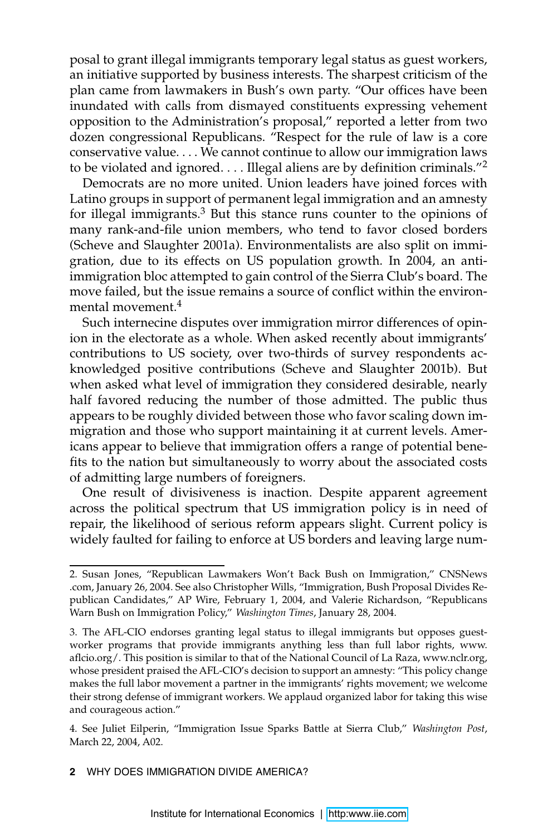posal to grant illegal immigrants temporary legal status as guest workers, an initiative supported by business interests. The sharpest criticism of the plan came from lawmakers in Bush's own party. "Our offices have been inundated with calls from dismayed constituents expressing vehement opposition to the Administration's proposal," reported a letter from two dozen congressional Republicans. "Respect for the rule of law is a core conservative value. . . . We cannot continue to allow our immigration laws to be violated and ignored.  $\dots$  Illegal aliens are by definition criminals."<sup>2</sup>

Democrats are no more united. Union leaders have joined forces with Latino groups in support of permanent legal immigration and an amnesty for illegal immigrants.3 But this stance runs counter to the opinions of many rank-and-file union members, who tend to favor closed borders (Scheve and Slaughter 2001a). Environmentalists are also split on immigration, due to its effects on US population growth. In 2004, an antiimmigration bloc attempted to gain control of the Sierra Club's board. The move failed, but the issue remains a source of conflict within the environmental movement.4

Such internecine disputes over immigration mirror differences of opinion in the electorate as a whole. When asked recently about immigrants' contributions to US society, over two-thirds of survey respondents acknowledged positive contributions (Scheve and Slaughter 2001b). But when asked what level of immigration they considered desirable, nearly half favored reducing the number of those admitted. The public thus appears to be roughly divided between those who favor scaling down immigration and those who support maintaining it at current levels. Americans appear to believe that immigration offers a range of potential benefits to the nation but simultaneously to worry about the associated costs of admitting large numbers of foreigners.

One result of divisiveness is inaction. Despite apparent agreement across the political spectrum that US immigration policy is in need of repair, the likelihood of serious reform appears slight. Current policy is widely faulted for failing to enforce at US borders and leaving large num-

#### **2** WHY DOES IMMIGRATION DIVIDE AMERICA?

<sup>2.</sup> Susan Jones, "Republican Lawmakers Won't Back Bush on Immigration," CNSNews .com, January 26, 2004. See also Christopher Wills, "Immigration, Bush Proposal Divides Republican Candidates," AP Wire, February 1, 2004, and Valerie Richardson, "Republicans Warn Bush on Immigration Policy," *Washington Times*, January 28, 2004.

<sup>3.</sup> The AFL-CIO endorses granting legal status to illegal immigrants but opposes guestworker programs that provide immigrants anything less than full labor rights, www. aflcio.org/. This position is similar to that of the National Council of La Raza, www.nclr.org, whose president praised the AFL-CIO's decision to support an amnesty: "This policy change makes the full labor movement a partner in the immigrants' rights movement; we welcome their strong defense of immigrant workers. We applaud organized labor for taking this wise and courageous action."

<sup>4.</sup> See Juliet Eilperin, "Immigration Issue Sparks Battle at Sierra Club," *Washington Post*, March 22, 2004, A02.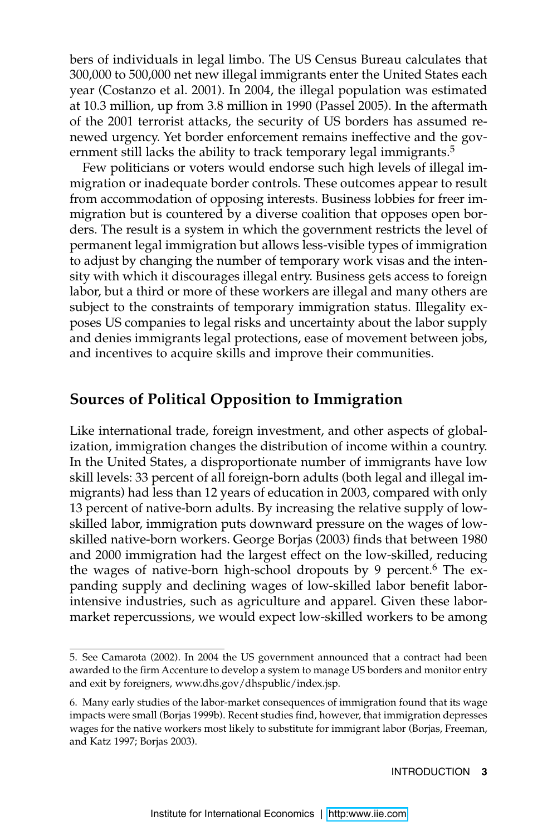bers of individuals in legal limbo. The US Census Bureau calculates that 300,000 to 500,000 net new illegal immigrants enter the United States each year (Costanzo et al. 2001). In 2004, the illegal population was estimated at 10.3 million, up from 3.8 million in 1990 (Passel 2005). In the aftermath of the 2001 terrorist attacks, the security of US borders has assumed renewed urgency. Yet border enforcement remains ineffective and the government still lacks the ability to track temporary legal immigrants.<sup>5</sup>

Few politicians or voters would endorse such high levels of illegal immigration or inadequate border controls. These outcomes appear to result from accommodation of opposing interests. Business lobbies for freer immigration but is countered by a diverse coalition that opposes open borders. The result is a system in which the government restricts the level of permanent legal immigration but allows less-visible types of immigration to adjust by changing the number of temporary work visas and the intensity with which it discourages illegal entry. Business gets access to foreign labor, but a third or more of these workers are illegal and many others are subject to the constraints of temporary immigration status. Illegality exposes US companies to legal risks and uncertainty about the labor supply and denies immigrants legal protections, ease of movement between jobs, and incentives to acquire skills and improve their communities.

### **Sources of Political Opposition to Immigration**

Like international trade, foreign investment, and other aspects of globalization, immigration changes the distribution of income within a country. In the United States, a disproportionate number of immigrants have low skill levels: 33 percent of all foreign-born adults (both legal and illegal immigrants) had less than 12 years of education in 2003, compared with only 13 percent of native-born adults. By increasing the relative supply of lowskilled labor, immigration puts downward pressure on the wages of lowskilled native-born workers. George Borjas (2003) finds that between 1980 and 2000 immigration had the largest effect on the low-skilled, reducing the wages of native-born high-school dropouts by 9 percent.<sup>6</sup> The expanding supply and declining wages of low-skilled labor benefit laborintensive industries, such as agriculture and apparel. Given these labormarket repercussions, we would expect low-skilled workers to be among

INTRODUCTION **3** 

<sup>5.</sup> See Camarota (2002). In 2004 the US government announced that a contract had been awarded to the firm Accenture to develop a system to manage US borders and monitor entry and exit by foreigners, www.dhs.gov/dhspublic/index.jsp.

<sup>6.</sup> Many early studies of the labor-market consequences of immigration found that its wage impacts were small (Borjas 1999b). Recent studies find, however, that immigration depresses wages for the native workers most likely to substitute for immigrant labor (Borjas, Freeman, and Katz 1997; Borjas 2003).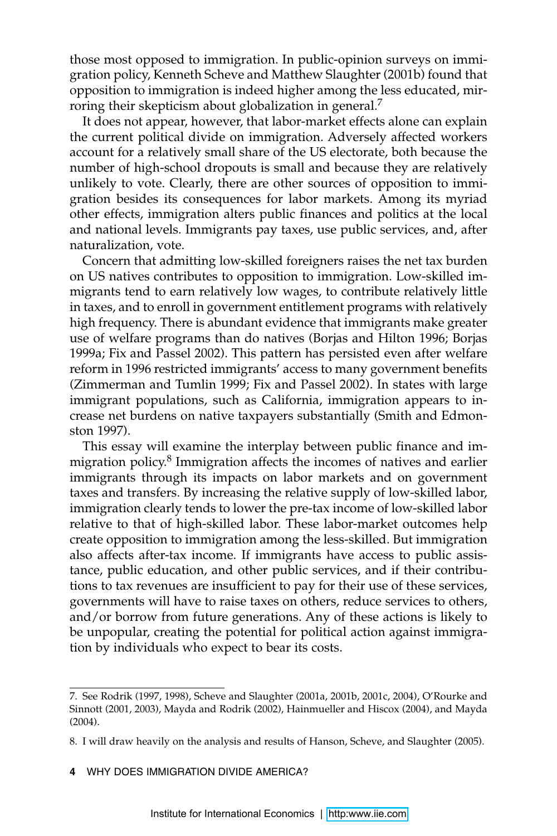those most opposed to immigration. In public-opinion surveys on immigration policy, Kenneth Scheve and Matthew Slaughter (2001b) found that opposition to immigration is indeed higher among the less educated, mirroring their skepticism about globalization in general.<sup>7</sup>

It does not appear, however, that labor-market effects alone can explain the current political divide on immigration. Adversely affected workers account for a relatively small share of the US electorate, both because the number of high-school dropouts is small and because they are relatively unlikely to vote. Clearly, there are other sources of opposition to immigration besides its consequences for labor markets. Among its myriad other effects, immigration alters public finances and politics at the local and national levels. Immigrants pay taxes, use public services, and, after naturalization, vote.

Concern that admitting low-skilled foreigners raises the net tax burden on US natives contributes to opposition to immigration. Low-skilled immigrants tend to earn relatively low wages, to contribute relatively little in taxes, and to enroll in government entitlement programs with relatively high frequency. There is abundant evidence that immigrants make greater use of welfare programs than do natives (Borjas and Hilton 1996; Borjas 1999a; Fix and Passel 2002). This pattern has persisted even after welfare reform in 1996 restricted immigrants' access to many government benefits (Zimmerman and Tumlin 1999; Fix and Passel 2002). In states with large immigrant populations, such as California, immigration appears to increase net burdens on native taxpayers substantially (Smith and Edmonston 1997).

This essay will examine the interplay between public finance and immigration policy.8 Immigration affects the incomes of natives and earlier immigrants through its impacts on labor markets and on government taxes and transfers. By increasing the relative supply of low-skilled labor, immigration clearly tends to lower the pre-tax income of low-skilled labor relative to that of high-skilled labor. These labor-market outcomes help create opposition to immigration among the less-skilled. But immigration also affects after-tax income. If immigrants have access to public assistance, public education, and other public services, and if their contributions to tax revenues are insufficient to pay for their use of these services, governments will have to raise taxes on others, reduce services to others, and/or borrow from future generations. Any of these actions is likely to be unpopular, creating the potential for political action against immigration by individuals who expect to bear its costs.

<sup>7.</sup> See Rodrik (1997, 1998), Scheve and Slaughter (2001a, 2001b, 2001c, 2004), O'Rourke and Sinnott (2001, 2003), Mayda and Rodrik (2002), Hainmueller and Hiscox (2004), and Mayda (2004).

<sup>8.</sup> I will draw heavily on the analysis and results of Hanson, Scheve, and Slaughter (2005).

**<sup>4</sup>** WHY DOES IMMIGRATION DIVIDE AMERICA?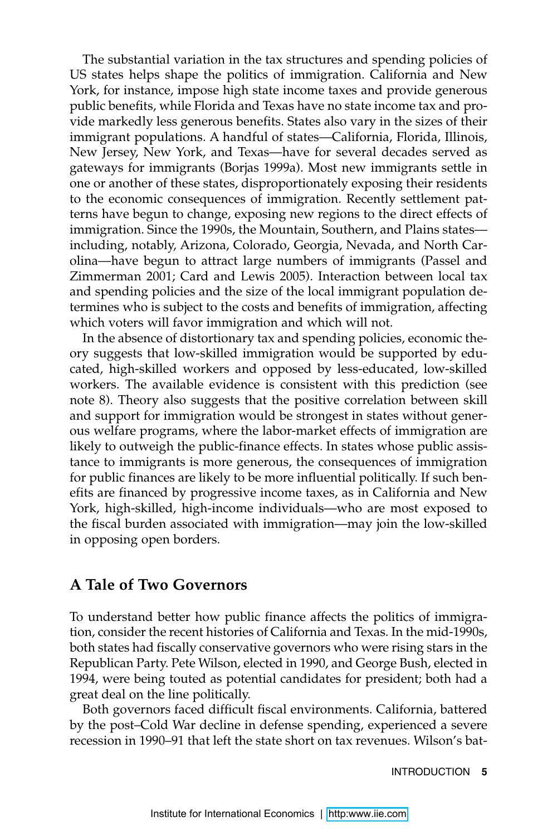The substantial variation in the tax structures and spending policies of US states helps shape the politics of immigration. California and New York, for instance, impose high state income taxes and provide generous public benefits, while Florida and Texas have no state income tax and provide markedly less generous benefits. States also vary in the sizes of their immigrant populations. A handful of states—California, Florida, Illinois, New Jersey, New York, and Texas—have for several decades served as gateways for immigrants (Borjas 1999a). Most new immigrants settle in one or another of these states, disproportionately exposing their residents to the economic consequences of immigration. Recently settlement patterns have begun to change, exposing new regions to the direct effects of immigration. Since the 1990s, the Mountain, Southern, and Plains states including, notably, Arizona, Colorado, Georgia, Nevada, and North Carolina—have begun to attract large numbers of immigrants (Passel and Zimmerman 2001; Card and Lewis 2005). Interaction between local tax and spending policies and the size of the local immigrant population determines who is subject to the costs and benefits of immigration, affecting which voters will favor immigration and which will not.

In the absence of distortionary tax and spending policies, economic theory suggests that low-skilled immigration would be supported by educated, high-skilled workers and opposed by less-educated, low-skilled workers. The available evidence is consistent with this prediction (see note 8). Theory also suggests that the positive correlation between skill and support for immigration would be strongest in states without generous welfare programs, where the labor-market effects of immigration are likely to outweigh the public-finance effects. In states whose public assistance to immigrants is more generous, the consequences of immigration for public finances are likely to be more influential politically. If such benefits are financed by progressive income taxes, as in California and New York, high-skilled, high-income individuals—who are most exposed to the fiscal burden associated with immigration—may join the low-skilled in opposing open borders.

#### **A Tale of Two Governors**

To understand better how public finance affects the politics of immigration, consider the recent histories of California and Texas. In the mid-1990s, both states had fiscally conservative governors who were rising stars in the Republican Party. Pete Wilson, elected in 1990, and George Bush, elected in 1994, were being touted as potential candidates for president; both had a great deal on the line politically.

Both governors faced difficult fiscal environments. California, battered by the post–Cold War decline in defense spending, experienced a severe recession in 1990–91 that left the state short on tax revenues. Wilson's bat-

INTRODUCTION **5**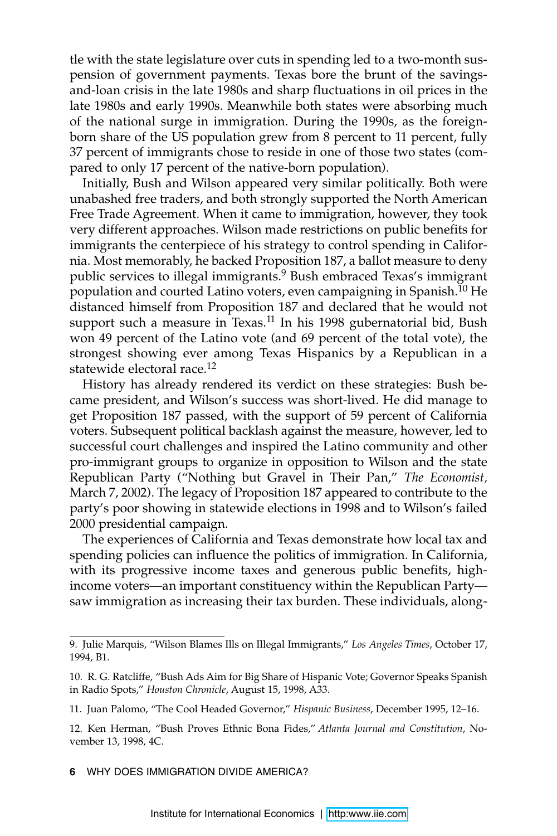tle with the state legislature over cuts in spending led to a two-month suspension of government payments. Texas bore the brunt of the savingsand-loan crisis in the late 1980s and sharp fluctuations in oil prices in the late 1980s and early 1990s. Meanwhile both states were absorbing much of the national surge in immigration. During the 1990s, as the foreignborn share of the US population grew from 8 percent to 11 percent, fully 37 percent of immigrants chose to reside in one of those two states (compared to only 17 percent of the native-born population).

Initially, Bush and Wilson appeared very similar politically. Both were unabashed free traders, and both strongly supported the North American Free Trade Agreement. When it came to immigration, however, they took very different approaches. Wilson made restrictions on public benefits for immigrants the centerpiece of his strategy to control spending in California. Most memorably, he backed Proposition 187, a ballot measure to deny public services to illegal immigrants.9 Bush embraced Texas's immigrant population and courted Latino voters, even campaigning in Spanish.<sup>10</sup> He distanced himself from Proposition 187 and declared that he would not support such a measure in Texas.<sup>11</sup> In his 1998 gubernatorial bid, Bush won 49 percent of the Latino vote (and 69 percent of the total vote), the strongest showing ever among Texas Hispanics by a Republican in a statewide electoral race.<sup>12</sup>

History has already rendered its verdict on these strategies: Bush became president, and Wilson's success was short-lived. He did manage to get Proposition 187 passed, with the support of 59 percent of California voters. Subsequent political backlash against the measure, however, led to successful court challenges and inspired the Latino community and other pro-immigrant groups to organize in opposition to Wilson and the state Republican Party ("Nothing but Gravel in Their Pan," *The Economist,*  March 7, 2002). The legacy of Proposition 187 appeared to contribute to the party's poor showing in statewide elections in 1998 and to Wilson's failed 2000 presidential campaign.

The experiences of California and Texas demonstrate how local tax and spending policies can influence the politics of immigration. In California, with its progressive income taxes and generous public benefits, highincome voters—an important constituency within the Republican Party saw immigration as increasing their tax burden. These individuals, along-

**6** WHY DOES IMMIGRATION DIVIDE AMERICA?

<sup>9.</sup> Julie Marquis, "Wilson Blames Ills on Illegal Immigrants," *Los Angeles Times*, October 17, 1994, B1.

<sup>10.</sup> R. G. Ratcliffe, "Bush Ads Aim for Big Share of Hispanic Vote; Governor Speaks Spanish in Radio Spots," *Houston Chronicle*, August 15, 1998, A33.

<sup>11.</sup> Juan Palomo, "The Cool Headed Governor," *Hispanic Business*, December 1995, 12–16.

<sup>12.</sup> Ken Herman, "Bush Proves Ethnic Bona Fides," *Atlanta Journal and Constitution*, November 13, 1998, 4C.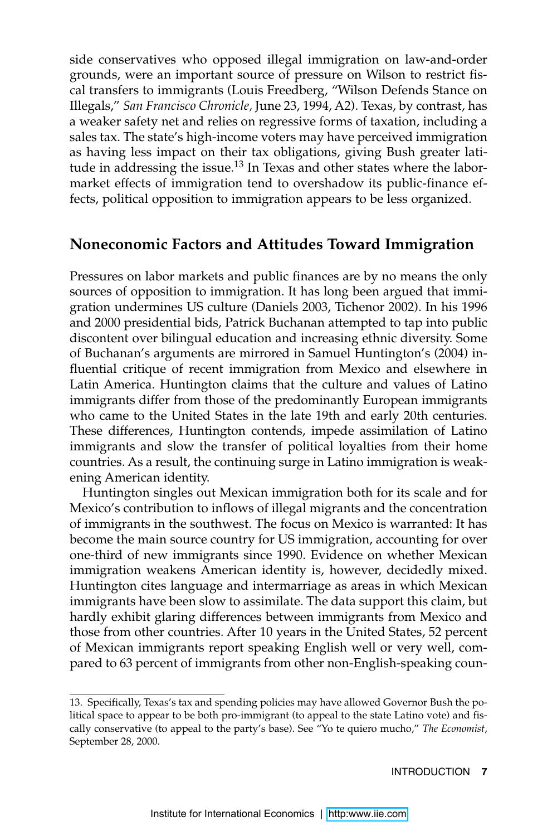side conservatives who opposed illegal immigration on law-and-order grounds, were an important source of pressure on Wilson to restrict fiscal transfers to immigrants (Louis Freedberg, "Wilson Defends Stance on Illegals," *San Francisco Chronicle,* June 23, 1994, A2). Texas, by contrast, has a weaker safety net and relies on regressive forms of taxation, including a sales tax. The state's high-income voters may have perceived immigration as having less impact on their tax obligations, giving Bush greater latitude in addressing the issue.<sup>13</sup> In Texas and other states where the labormarket effects of immigration tend to overshadow its public-finance effects, political opposition to immigration appears to be less organized.

## **Noneconomic Factors and Attitudes Toward Immigration**

Pressures on labor markets and public finances are by no means the only sources of opposition to immigration. It has long been argued that immigration undermines US culture (Daniels 2003, Tichenor 2002). In his 1996 and 2000 presidential bids, Patrick Buchanan attempted to tap into public discontent over bilingual education and increasing ethnic diversity. Some of Buchanan's arguments are mirrored in Samuel Huntington's (2004) influential critique of recent immigration from Mexico and elsewhere in Latin America. Huntington claims that the culture and values of Latino immigrants differ from those of the predominantly European immigrants who came to the United States in the late 19th and early 20th centuries. These differences, Huntington contends, impede assimilation of Latino immigrants and slow the transfer of political loyalties from their home countries. As a result, the continuing surge in Latino immigration is weakening American identity.

Huntington singles out Mexican immigration both for its scale and for Mexico's contribution to inflows of illegal migrants and the concentration of immigrants in the southwest. The focus on Mexico is warranted: It has become the main source country for US immigration, accounting for over one-third of new immigrants since 1990. Evidence on whether Mexican immigration weakens American identity is, however, decidedly mixed. Huntington cites language and intermarriage as areas in which Mexican immigrants have been slow to assimilate. The data support this claim, but hardly exhibit glaring differences between immigrants from Mexico and those from other countries. After 10 years in the United States, 52 percent of Mexican immigrants report speaking English well or very well, compared to 63 percent of immigrants from other non-English-speaking coun-

<sup>13.</sup> Specifically, Texas's tax and spending policies may have allowed Governor Bush the political space to appear to be both pro-immigrant (to appeal to the state Latino vote) and fiscally conservative (to appeal to the party's base). See "Yo te quiero mucho," *The Economist*, September 28, 2000.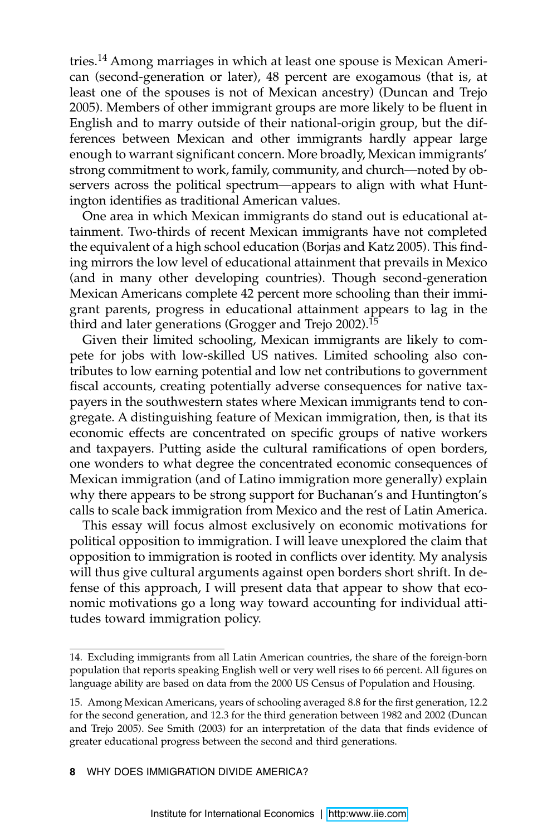tries.14 Among marriages in which at least one spouse is Mexican American (second-generation or later), 48 percent are exogamous (that is, at least one of the spouses is not of Mexican ancestry) (Duncan and Trejo 2005). Members of other immigrant groups are more likely to be fluent in English and to marry outside of their national-origin group, but the differences between Mexican and other immigrants hardly appear large enough to warrant significant concern. More broadly, Mexican immigrants' strong commitment to work, family, community, and church—noted by observers across the political spectrum—appears to align with what Huntington identifies as traditional American values.

One area in which Mexican immigrants do stand out is educational attainment. Two-thirds of recent Mexican immigrants have not completed the equivalent of a high school education (Borjas and Katz 2005). This finding mirrors the low level of educational attainment that prevails in Mexico (and in many other developing countries). Though second-generation Mexican Americans complete 42 percent more schooling than their immigrant parents, progress in educational attainment appears to lag in the third and later generations (Grogger and Trejo 2002).<sup>15</sup>

Given their limited schooling, Mexican immigrants are likely to compete for jobs with low-skilled US natives. Limited schooling also contributes to low earning potential and low net contributions to government fiscal accounts, creating potentially adverse consequences for native taxpayers in the southwestern states where Mexican immigrants tend to congregate. A distinguishing feature of Mexican immigration, then, is that its economic effects are concentrated on specific groups of native workers and taxpayers. Putting aside the cultural ramifications of open borders, one wonders to what degree the concentrated economic consequences of Mexican immigration (and of Latino immigration more generally) explain why there appears to be strong support for Buchanan's and Huntington's calls to scale back immigration from Mexico and the rest of Latin America.

This essay will focus almost exclusively on economic motivations for political opposition to immigration. I will leave unexplored the claim that opposition to immigration is rooted in conflicts over identity. My analysis will thus give cultural arguments against open borders short shrift. In defense of this approach, I will present data that appear to show that economic motivations go a long way toward accounting for individual attitudes toward immigration policy.

**8** WHY DOES IMMIGRATION DIVIDE AMERICA?

<sup>14.</sup> Excluding immigrants from all Latin American countries, the share of the foreign-born population that reports speaking English well or very well rises to 66 percent. All figures on language ability are based on data from the 2000 US Census of Population and Housing.

<sup>15.</sup> Among Mexican Americans, years of schooling averaged 8.8 for the first generation, 12.2 for the second generation, and 12.3 for the third generation between 1982 and 2002 (Duncan and Trejo 2005). See Smith (2003) for an interpretation of the data that finds evidence of greater educational progress between the second and third generations.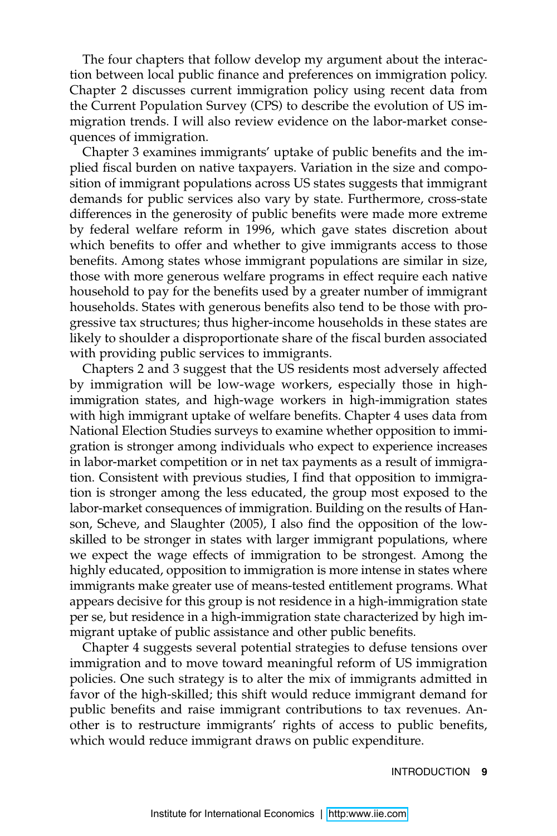The four chapters that follow develop my argument about the interaction between local public finance and preferences on immigration policy. Chapter 2 discusses current immigration policy using recent data from the Current Population Survey (CPS) to describe the evolution of US immigration trends. I will also review evidence on the labor-market consequences of immigration.

Chapter 3 examines immigrants' uptake of public benefits and the implied fiscal burden on native taxpayers. Variation in the size and composition of immigrant populations across US states suggests that immigrant demands for public services also vary by state. Furthermore, cross-state differences in the generosity of public benefits were made more extreme by federal welfare reform in 1996, which gave states discretion about which benefits to offer and whether to give immigrants access to those benefits. Among states whose immigrant populations are similar in size, those with more generous welfare programs in effect require each native household to pay for the benefits used by a greater number of immigrant households. States with generous benefits also tend to be those with progressive tax structures; thus higher-income households in these states are likely to shoulder a disproportionate share of the fiscal burden associated with providing public services to immigrants.

Chapters 2 and 3 suggest that the US residents most adversely affected by immigration will be low-wage workers, especially those in highimmigration states, and high-wage workers in high-immigration states with high immigrant uptake of welfare benefits. Chapter 4 uses data from National Election Studies surveys to examine whether opposition to immigration is stronger among individuals who expect to experience increases in labor-market competition or in net tax payments as a result of immigration. Consistent with previous studies, I find that opposition to immigration is stronger among the less educated, the group most exposed to the labor-market consequences of immigration. Building on the results of Hanson, Scheve, and Slaughter (2005), I also find the opposition of the lowskilled to be stronger in states with larger immigrant populations, where we expect the wage effects of immigration to be strongest. Among the highly educated, opposition to immigration is more intense in states where immigrants make greater use of means-tested entitlement programs. What appears decisive for this group is not residence in a high-immigration state per se, but residence in a high-immigration state characterized by high immigrant uptake of public assistance and other public benefits.

Chapter 4 suggests several potential strategies to defuse tensions over immigration and to move toward meaningful reform of US immigration policies. One such strategy is to alter the mix of immigrants admitted in favor of the high-skilled; this shift would reduce immigrant demand for public benefits and raise immigrant contributions to tax revenues. Another is to restructure immigrants' rights of access to public benefits, which would reduce immigrant draws on public expenditure.

INTRODUCTION **9**